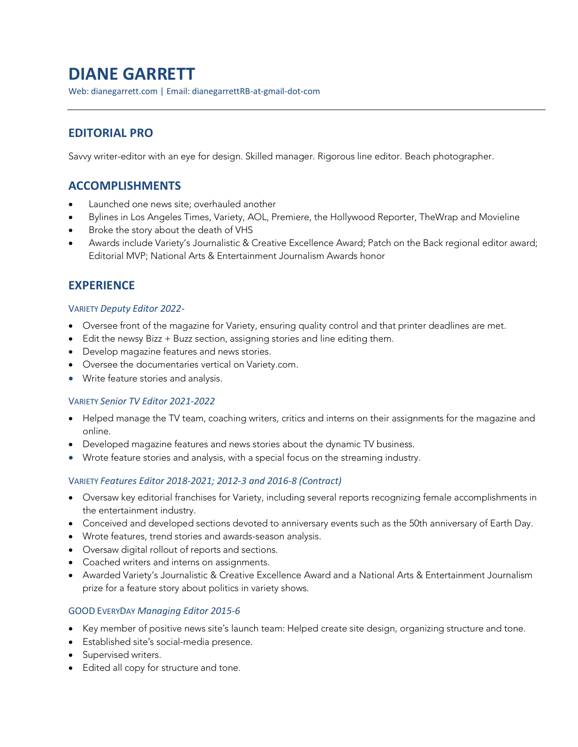# **DIANE GARRETT**

Web: dianegarrett.com | Email: dianegarrettRB-at-gmail-dot-com

# **EDITORIAL PRO**

Savvy writer-editor with an eye for design. Skilled manager. Rigorous line editor. Beach photographer.

# **ACCOMPLISHMENTS**

- Launched one news site; overhauled another
- Bylines in Los Angeles Times, Variety, AOL, Premiere, the Hollywood Reporter, TheWrap and Movieline
- Broke the story about the death of VHS
- Awards include Variety's Journalistic & Creative Excellence Award; Patch on the Back regional editor award; Editorial MVP; National Arts & Entertainment Journalism Awards honor

# **EXPERIENCE**

#### VARIETY *Deputy Editor 2022-*

- Oversee front of the magazine for Variety, ensuring quality control and that printer deadlines are met.
- Edit the newsy Bizz + Buzz section, assigning stories and line editing them.
- Develop magazine features and news stories.
- Oversee the documentaries vertical on Variety.com.
- Write feature stories and analysis.

## VARIETY *Senior TV Editor 2021-2022*

- Helped manage the TV team, coaching writers, critics and interns on their assignments for the magazine and online.
- Developed magazine features and news stories about the dynamic TV business.
- Wrote feature stories and analysis, with a special focus on the streaming industry.

## VARIETY *Features Editor 2018-2021; 2012-3 and 2016-8 (Contract)*

- Oversaw key editorial franchises for Variety, including several reports recognizing female accomplishments in the entertainment industry.
- Conceived and developed sections devoted to anniversary events such as the 50th anniversary of Earth Day.
- Wrote features, trend stories and awards-season analysis.
- Oversaw digital rollout of reports and sections.
- Coached writers and interns on assignments.
- Awarded Variety's Journalistic & Creative Excellence Award and a National Arts & Entertainment Journalism prize for a feature story about politics in variety shows.

## GOOD EVERYDAY *Managing Editor 2015-6*

- Key member of positive news site's launch team: Helped create site design, organizing structure and tone.
- Established site's social-media presence.
- Supervised writers.
- Edited all copy for structure and tone.